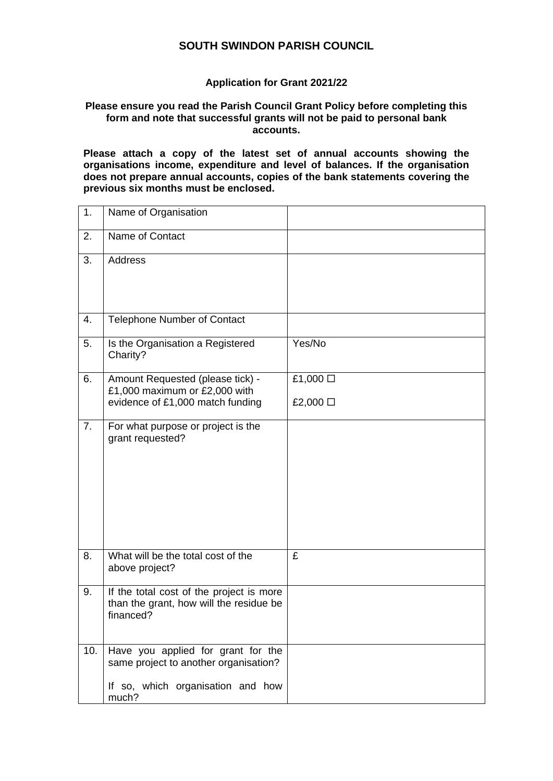## **SOUTH SWINDON PARISH COUNCIL**

## **Application for Grant 2021/22**

## **Please ensure you read the Parish Council Grant Policy before completing this form and note that successful grants will not be paid to personal bank accounts.**

**Please attach a copy of the latest set of annual accounts showing the organisations income, expenditure and level of balances. If the organisation does not prepare annual accounts, copies of the bank statements covering the previous six months must be enclosed.**

| 1.  | Name of Organisation                                                                                                      |          |
|-----|---------------------------------------------------------------------------------------------------------------------------|----------|
| 2.  | Name of Contact                                                                                                           |          |
| 3.  | <b>Address</b>                                                                                                            |          |
| 4.  | <b>Telephone Number of Contact</b>                                                                                        |          |
| 5.  | Is the Organisation a Registered<br>Charity?                                                                              | Yes/No   |
| 6.  | Amount Requested (please tick) -<br>£1,000 maximum or £2,000 with                                                         | £1,000 □ |
|     | evidence of £1,000 match funding                                                                                          | £2,000 □ |
| 7.  | For what purpose or project is the<br>grant requested?                                                                    |          |
| 8.  | What will be the total cost of the<br>above project?                                                                      | £        |
| 9.  | If the total cost of the project is more<br>than the grant, how will the residue be<br>financed?                          |          |
| 10. | Have you applied for grant for the<br>same project to another organisation?<br>If so, which organisation and how<br>much? |          |